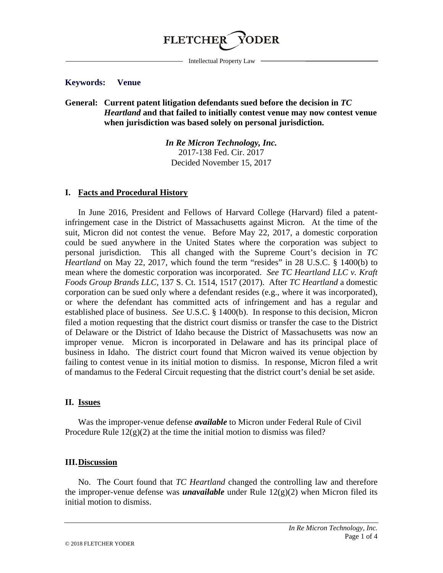

Intellectual Property Law

### **Keywords: Venue**

## **General: Current patent litigation defendants sued before the decision in** *TC Heartland* **and that failed to initially contest venue may now contest venue when jurisdiction was based solely on personal jurisdiction.**

*In Re Micron Technology, Inc.* 2017-138 Fed. Cir. 2017 Decided November 15, 2017

#### **I. Facts and Procedural History**

In June 2016, President and Fellows of Harvard College (Harvard) filed a patentinfringement case in the District of Massachusetts against Micron. At the time of the suit, Micron did not contest the venue. Before May 22, 2017, a domestic corporation could be sued anywhere in the United States where the corporation was subject to personal jurisdiction. This all changed with the Supreme Court's decision in *TC Heartland* on May 22, 2017, which found the term "resides" in 28 U.S.C. § 1400(b) to mean where the domestic corporation was incorporated. *See TC Heartland LLC v. Kraft Foods Group Brands LLC*, 137 S. Ct. 1514, 1517 (2017). After *TC Heartland* a domestic corporation can be sued only where a defendant resides (e.g., where it was incorporated), or where the defendant has committed acts of infringement and has a regular and established place of business. *See* U.S.C. § 1400(b). In response to this decision, Micron filed a motion requesting that the district court dismiss or transfer the case to the District of Delaware or the District of Idaho because the District of Massachusetts was now an improper venue. Micron is incorporated in Delaware and has its principal place of business in Idaho. The district court found that Micron waived its venue objection by failing to contest venue in its initial motion to dismiss. In response, Micron filed a writ of mandamus to the Federal Circuit requesting that the district court's denial be set aside.

### **II. Issues**

Was the improper-venue defense *available* to Micron under Federal Rule of Civil Procedure Rule  $12(g)(2)$  at the time the initial motion to dismiss was filed?

#### **III.Discussion**

No. The Court found that *TC Heartland* changed the controlling law and therefore the improper-venue defense was *unavailable* under Rule 12(g)(2) when Micron filed its initial motion to dismiss.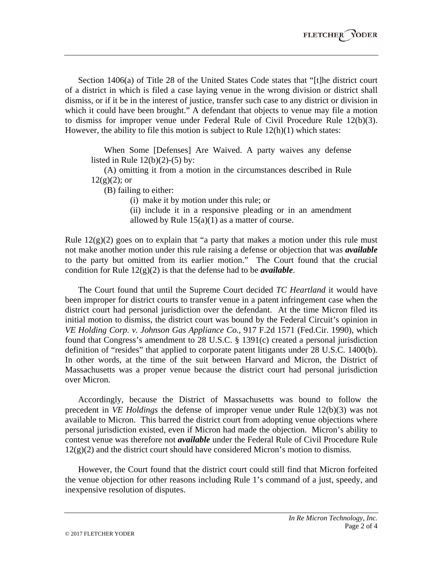Section 1406(a) of Title 28 of the United States Code states that "[t]he district court of a district in which is filed a case laying venue in the wrong division or district shall dismiss, or if it be in the interest of justice, transfer such case to any district or division in which it could have been brought." A defendant that objects to venue may file a motion to dismiss for improper venue under Federal Rule of Civil Procedure Rule 12(b)(3). However, the ability to file this motion is subject to Rule  $12(h)(1)$  which states:

When Some [Defenses] Are Waived. A party waives any defense listed in Rule  $12(b)(2)-(5)$  by:

(A) omitting it from a motion in the circumstances described in Rule  $12(g)(2)$ ; or

(B) failing to either:

(i) make it by motion under this rule; or

(ii) include it in a responsive pleading or in an amendment allowed by Rule  $15(a)(1)$  as a matter of course.

Rule  $12(g)(2)$  goes on to explain that "a party that makes a motion under this rule must not make another motion under this rule raising a defense or objection that was *available* to the party but omitted from its earlier motion." The Court found that the crucial condition for Rule 12(g)(2) is that the defense had to be *available*.

The Court found that until the Supreme Court decided *TC Heartland* it would have been improper for district courts to transfer venue in a patent infringement case when the district court had personal jurisdiction over the defendant. At the time Micron filed its initial motion to dismiss, the district court was bound by the Federal Circuit's opinion in *VE Holding Corp. v. Johnson Gas Appliance Co.,* 917 F.2d 1571 (Fed.Cir. 1990), which found that Congress's amendment to 28 U.S.C. § 1391(c) created a personal jurisdiction definition of "resides" that applied to corporate patent litigants under 28 U.S.C. 1400(b). In other words, at the time of the suit between Harvard and Micron, the District of Massachusetts was a proper venue because the district court had personal jurisdiction over Micron.

Accordingly, because the District of Massachusetts was bound to follow the precedent in *VE Holdings* the defense of improper venue under Rule 12(b)(3) was not available to Micron. This barred the district court from adopting venue objections where personal jurisdiction existed, even if Micron had made the objection. Micron's ability to contest venue was therefore not *available* under the Federal Rule of Civil Procedure Rule  $12(g)(2)$  and the district court should have considered Micron's motion to dismiss.

However, the Court found that the district court could still find that Micron forfeited the venue objection for other reasons including Rule 1's command of a just, speedy, and inexpensive resolution of disputes.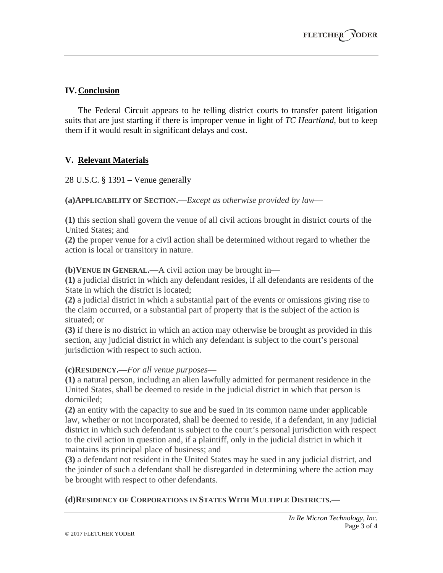# **IV.Conclusion**

The Federal Circuit appears to be telling district courts to transfer patent litigation suits that are just starting if there is improper venue in light of *TC Heartland*, but to keep them if it would result in significant delays and cost.

# **V. Relevant Materials**

28 U.S.C. § 1391 – Venue generally

**(a)APPLICABILITY OF SECTION.—***Except as otherwise provided by law*—

**(1)** this section shall govern the venue of all civil actions brought in district courts of the United States; and

**(2)** the proper venue for a civil action shall be determined without regard to whether the action is local or transitory in nature.

**(b)VENUE IN GENERAL.—**A civil action may be brought in—

**(1)** a judicial district in which any defendant resides, if all defendants are residents of the State in which the district is located;

**(2)** a judicial district in which a substantial part of the events or omissions giving rise to the claim occurred, or a substantial part of property that is the subject of the action is situated; or

**(3)** if there is no district in which an action may otherwise be brought as provided in this section, any judicial district in which any defendant is subject to the court's personal jurisdiction with respect to such action.

## **(c)RESIDENCY.—***For all venue purposes*—

**(1)** a natural person, including an alien lawfully admitted for permanent residence in the United States, shall be deemed to reside in the judicial district in which that person is domiciled;

**(2)** an entity with the capacity to sue and be sued in its common name under applicable law, whether or not incorporated, shall be deemed to reside, if a defendant, in any judicial district in which such defendant is subject to the court's personal jurisdiction with respect to the civil action in question and, if a plaintiff, only in the judicial district in which it maintains its principal place of business; and

**(3)** a defendant not resident in the United States may be sued in any judicial district, and the joinder of such a defendant shall be disregarded in determining where the action may be brought with respect to other defendants.

## **(d)RESIDENCY OF CORPORATIONS IN STATES WITH MULTIPLE DISTRICTS.—**